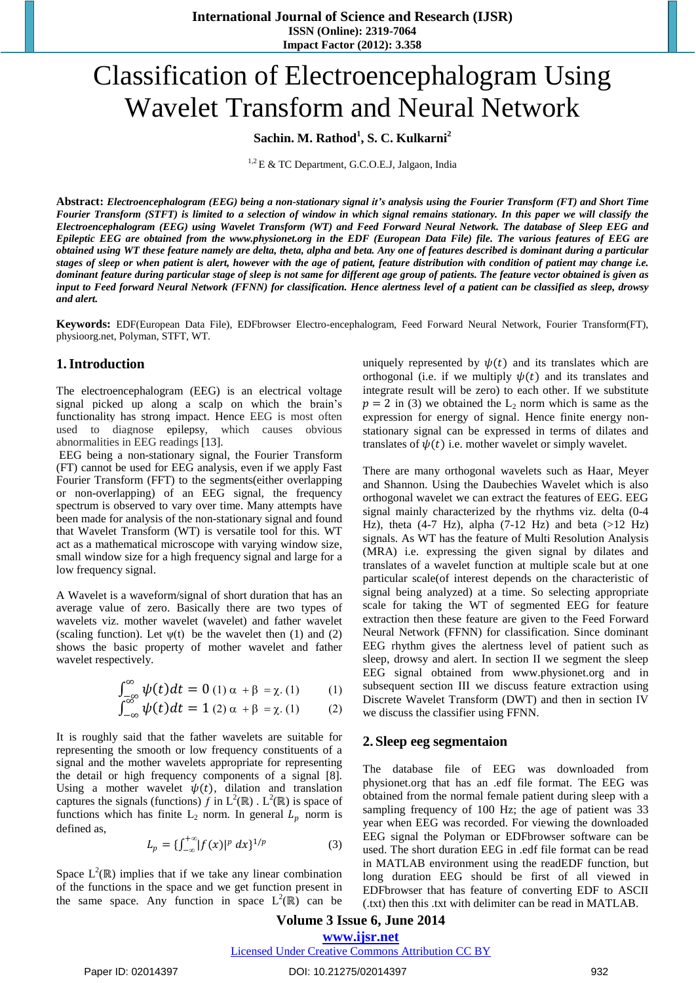# Classification of Electroencephalogram Using Wavelet Transform and Neural Network

**Sachin. M. Rathod<sup>1</sup> , S. C. Kulkarni<sup>2</sup>**

 $1.2$  E & TC Department, G.C.O.E.J, Jalgaon, India

Abstract: Electroencephalogram (EEG) being a non-stationary signal it's analysis using the Fourier Transform (FT) and Short Time Fourier Transform (STFT) is limited to a selection of window in which signal remains stationary. In this paper we will classify the Electroencephalogram (EEG) using Wavelet Transform (WT) and Feed Forward Neural Network. The database of Sleep EEG and Epileptic EEG are obtained from the www.physionet.org in the EDF (European Data File) file. The various features of EEG are obtained using WT these feature namely are delta, theta, alpha and beta. Any one of features described is dominant during a particular stages of sleep or when patient is alert, however with the age of patient, feature distribution with condition of patient may change i.e. dominant feature during particular stage of sleep is not same for different age group of patients. The feature vector obtained is given as input to Feed forward Neural Network (FFNN) for classification. Hence alertness level of a patient can be classified as sleep, drowsy *and alert.*

**Keywords:** EDF(European Data File), EDFbrowser Electro-encephalogram, Feed Forward Neural Network, Fourier Transform(FT), physioorg.net, Polyman, STFT, WT.

### **1.Introduction**

The electroencephalogram (EEG) is an electrical voltage signal picked up along a scalp on which the brain"s functionality has strong impact. Hence EEG is most often used to diagnose epilepsy, which causes obvious abnormalities in EEG readings [13].

EEG being a non-stationary signal, the Fourier Transform (FT) cannot be used for EEG analysis, even if we apply Fast Fourier Transform (FFT) to the segments(either overlapping or non-overlapping) of an EEG signal, the frequency spectrum is observed to vary over time. Many attempts have been made for analysis of the non-stationary signal and found that Wavelet Transform (WT) is versatile tool for this. WT act as a mathematical microscope with varying window size, small window size for a high frequency signal and large for a low frequency signal.

A Wavelet is a waveform/signal of short duration that has an average value of zero. Basically there are two types of wavelets viz. mother wavelet (wavelet) and father wavelet (scaling function). Let  $\psi(t)$  be the wavelet then (1) and (2) shows the basic property of mother wavelet and father wavelet respectively.

$$
\int_{-\infty}^{\infty} \psi(t) dt = 0
$$
 (1)  $\alpha + \beta = \chi$ . (1) (1)

$$
\int_{-\infty}^{\infty} \psi(t) dt = 1 (2) \alpha + \beta = \chi (1) \qquad (2)
$$

It is roughly said that the father wavelets are suitable for representing the smooth or low frequency constituents of a signal and the mother wavelets appropriate for representing the detail or high frequency components of a signal [8]. Using a mother wavelet  $\psi(t)$ , dilation and translation captures the signals (functions) f in  $L^2(\mathbb{R})$ .  $L^2(\mathbb{R})$  is space of functions which has finite  $L_2$  norm. In general  $L_p$  norm is defined as,

$$
L_p = \{ \int_{-\infty}^{+\infty} |f(x)|^p \, dx \}^{1/p} \tag{3}
$$

Space  $L^2(\mathbb{R})$  implies that if we take any linear combination of the functions in the space and we get function present in the same space. Any function in space  $L^2(\mathbb{R})$  can be

uniquely represented by  $\psi(t)$  and its translates which are orthogonal (i.e. if we multiply  $\psi(t)$  and its translates and integrate result will be zero) to each other. If we substitute  $p = 2$  in (3) we obtained the L<sub>2</sub> norm which is same as the expression for energy of signal. Hence finite energy nonstationary signal can be expressed in terms of dilates and translates of  $\psi(t)$  i.e. mother wavelet or simply wavelet.

There are many orthogonal wavelets such as Haar, Meyer and Shannon. Using the Daubechies Wavelet which is also orthogonal wavelet we can extract the features of EEG. EEG signal mainly characterized by the rhythms viz. delta (0-4 Hz), theta  $(4-7$  Hz), alpha  $(7-12$  Hz) and beta  $(>12$  Hz) signals. As WT has the feature of Multi Resolution Analysis (MRA) i.e. expressing the given signal by dilates and translates of a wavelet function at multiple scale but at one particular scale(of interest depends on the characteristic of signal being analyzed) at a time. So selecting appropriate scale for taking the WT of segmented EEG for feature extraction then these feature are given to the Feed Forward Neural Network (FFNN) for classification. Since dominant EEG rhythm gives the alertness level of patient such as sleep, drowsy and alert. In section II we segment the sleep EEG signal obtained from www.physionet.org and in subsequent section III we discuss feature extraction using Discrete Wavelet Transform (DWT) and then in section IV we discuss the classifier using FFNN.

### **2. Sleep eeg segmentaion**

The database file of EEG was downloaded from physionet.org that has an .edf file format. The EEG was obtained from the normal female patient during sleep with a sampling frequency of 100 Hz; the age of patient was 33 year when EEG was recorded. For viewing the downloaded EEG signal the Polyman or EDFbrowser software can be used. The short duration EEG in .edf file format can be read in MATLAB environment using the readEDF function, but long duration EEG should be first of all viewed in EDFbrowser that has feature of converting EDF to ASCII (.txt) then this .txt with delimiter can be read in MATLAB.

**Volume 3 Issue 6, June 2014 www.ijsr.net**

### Licensed Under Creative Commons Attribution CC BY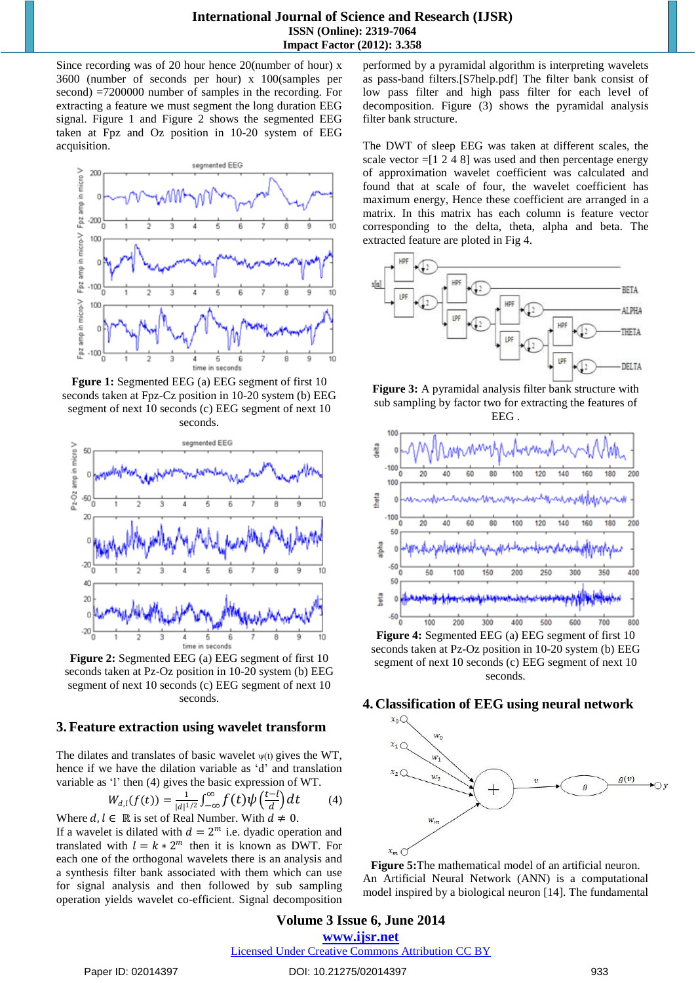Since recording was of 20 hour hence 20(number of hour) x 3600 (number of seconds per hour) x 100(samples per second) =7200000 number of samples in the recording. For extracting a feature we must segment the long duration EEG signal. Figure 1 and Figure 2 shows the segmented EEG taken at Fpz and Oz position in 10-20 system of EEG acquisition.



**Fgure 1:** Segmented EEG (a) EEG segment of first 10 seconds taken at Fpz-Cz position in 10-20 system (b) EEG segment of next 10 seconds (c) EEG segment of next 10 seconds.



**Figure 2:** Segmented EEG (a) EEG segment of first 10 seconds taken at Pz-Oz position in 10-20 system (b) EEG segment of next 10 seconds (c) EEG segment of next 10 seconds.

### **3.Feature extraction using wavelet transform**

The dilates and translates of basic wavelet  $\psi(t)$  gives the WT, hence if we have the dilation variable as 'd' and translation variable as 'l' then (4) gives the basic expression of WT.

$$
W_{d,l}(f(t)) = \frac{1}{|d|^{1/2}} \int_{-\infty}^{\infty} f(t) \psi\left(\frac{t-l}{d}\right) dt \tag{4}
$$
  
Where  $d, l \in \mathbb{R}$  is set of Real Number. With  $d \neq 0$ .

If a wavelet is dilated with  $d = 2^m$  i.e. dyadic operation and translated with  $l = k \times 2^m$  then it is known as DWT. For each one of the orthogonal wavelets there is an analysis and a synthesis filter bank associated with them which can use for signal analysis and then followed by sub sampling operation yields wavelet co-efficient. Signal decomposition performed by a pyramidal algorithm is interpreting wavelets as pass-band filters.[S7help.pdf] The filter bank consist of low pass filter and high pass filter for each level of decomposition. Figure (3) shows the pyramidal analysis filter bank structure.

The DWT of sleep EEG was taken at different scales, the scale vector  $=[1 2 4 8]$  was used and then percentage energy of approximation wavelet coefficient was calculated and found that at scale of four, the wavelet coefficient has maximum energy, Hence these coefficient are arranged in a matrix. In this matrix has each column is feature vector corresponding to the delta, theta, alpha and beta. The extracted feature are ploted in Fig 4.



**Figure 3:** A pyramidal analysis filter bank structure with sub sampling by factor two for extracting the features of EEG .



**Figure 4:** Segmented EEG (a) EEG segment of first 10 seconds taken at Pz-Oz position in 10-20 system (b) EEG segment of next 10 seconds (c) EEG segment of next 10 seconds.

## **4. Classification of EEG using neural network**



**Figure 5:**The mathematical model of an artificial neuron. An Artificial Neural Network (ANN) is a computational model inspired by a biological neuron [14]. The fundamental

**Volume 3 Issue 6, June 2014 www.ijsr.net** Licensed Under Creative Commons Attribution CC BY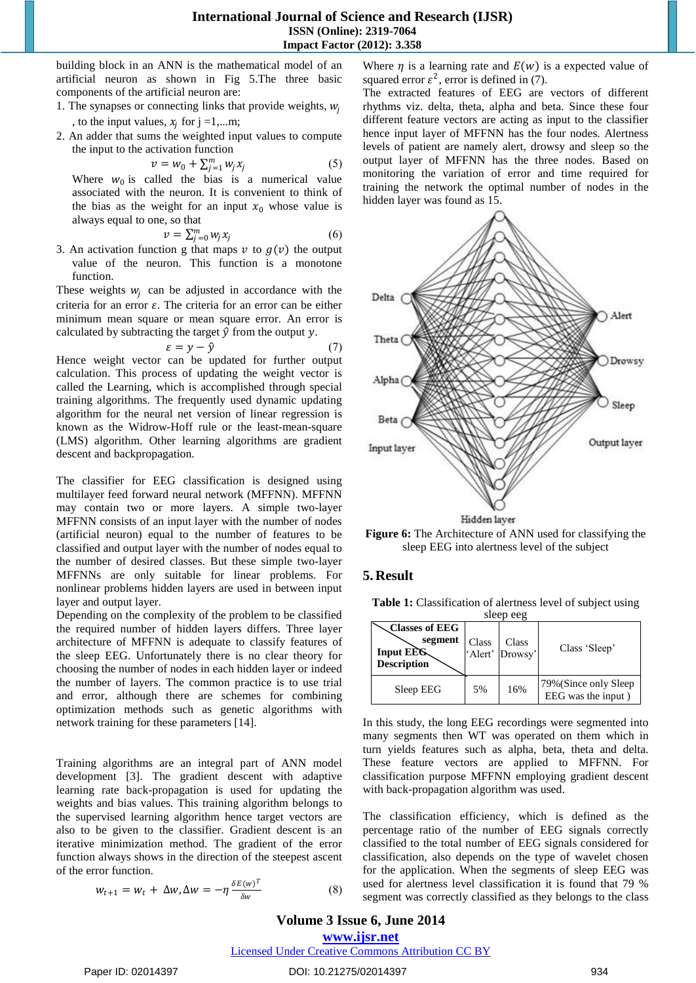**International Journal of Science and Research (IJSR) ISSN (Online): 2319-7064 Impact Factor (2012): 3.358**

building block in an ANN is the mathematical model of an artificial neuron as shown in Fig 5.The three basic components of the artificial neuron are:

- 1. The synapses or connecting links that provide weights,  $w_i$ , to the input values,  $x_j$  for  $j = 1,...m$ ;
- 2. An adder that sums the weighted input values to compute the input to the activation function

$$
v = w_0 + \sum_{j=1}^{m} w_j x_j \tag{5}
$$

Where  $w_0$  is called the bias is a numerical value associated with the neuron. It is convenient to think of the bias as the weight for an input  $x_0$  whose value is always equal to one, so that

$$
v = \sum_{j=0}^{m} w_j x_j \tag{6}
$$

3. An activation function g that maps  $v$  to  $g(v)$  the output value of the neuron. This function is a monotone function.

These weights  $w_i$  can be adjusted in accordance with the criteria for an error  $\varepsilon$ . The criteria for an error can be either minimum mean square or mean square error. An error is calculated by subtracting the target  $\hat{y}$  from the output  $y$ .

$$
\varepsilon = y - \hat{y} \tag{7}
$$

Hence weight vector can be updated for further output calculation. This process of updating the weight vector is called the Learning, which is accomplished through special training algorithms. The frequently used dynamic updating algorithm for the neural net version of linear regression is known as the Widrow-Hoff rule or the least-mean-square (LMS) algorithm. Other learning algorithms are gradient descent and backpropagation.

The classifier for EEG classification is designed using multilayer feed forward neural network (MFFNN). MFFNN may contain two or more layers. A simple two-layer MFFNN consists of an input layer with the number of nodes (artificial neuron) equal to the number of features to be classified and output layer with the number of nodes equal to the number of desired classes. But these simple two-layer MFFNNs are only suitable for linear problems. For nonlinear problems hidden layers are used in between input layer and output layer.

Depending on the complexity of the problem to be classified the required number of hidden layers differs. Three layer architecture of MFFNN is adequate to classify features of the sleep EEG. Unfortunately there is no clear theory for choosing the number of nodes in each hidden layer or indeed the number of layers. The common practice is to use trial and error, although there are schemes for combining optimization methods such as genetic algorithms with network training for these parameters [14].

Training algorithms are an integral part of ANN model development [3]. The gradient descent with adaptive learning rate back-propagation is used for updating the weights and bias values. This training algorithm belongs to the supervised learning algorithm hence target vectors are also to be given to the classifier. Gradient descent is an iterative minimization method. The gradient of the error function always shows in the direction of the steepest ascent of the error function.

$$
w_{t+1} = w_t + \Delta w, \Delta w = -\eta \frac{\delta E(w)^T}{\delta w}
$$
 (8)

Where  $\eta$  is a learning rate and  $E(w)$  is a expected value of squared error  $\varepsilon^2$ , error is defined in (7).

The extracted features of EEG are vectors of different rhythms viz. delta, theta, alpha and beta. Since these four different feature vectors are acting as input to the classifier hence input layer of MFFNN has the four nodes. Alertness levels of patient are namely alert, drowsy and sleep so the output layer of MFFNN has the three nodes. Based on monitoring the variation of error and time required for training the network the optimal number of nodes in the hidden layer was found as 15.



**Figure 6:** The Architecture of ANN used for classifying the sleep EEG into alertness level of the subject

## **5. Result**

**Table 1:** Classification of alertness level of subject using sleep eeg

| 0.00000000                                                          |       |                          |                                              |
|---------------------------------------------------------------------|-------|--------------------------|----------------------------------------------|
| <b>Classes of EEG</b><br>segment<br>Input EEG<br><b>Description</b> | Class | Class<br>'Alert' Drowsy' | Class 'Sleep'                                |
| Sleep EEG                                                           | 5%    | 16%                      | 79% (Since only Sleep)<br>EEG was the input) |

In this study, the long EEG recordings were segmented into many segments then WT was operated on them which in turn yields features such as alpha, beta, theta and delta. These feature vectors are applied to MFFNN. For classification purpose MFFNN employing gradient descent with back-propagation algorithm was used.

The classification efficiency, which is defined as the percentage ratio of the number of EEG signals correctly classified to the total number of EEG signals considered for classification, also depends on the type of wavelet chosen for the application. When the segments of sleep EEG was used for alertness level classification it is found that 79 % segment was correctly classified as they belongs to the class

## **Volume 3 Issue 6, June 2014**

**www.ijsr.net**

Licensed Under Creative Commons Attribution CC BY